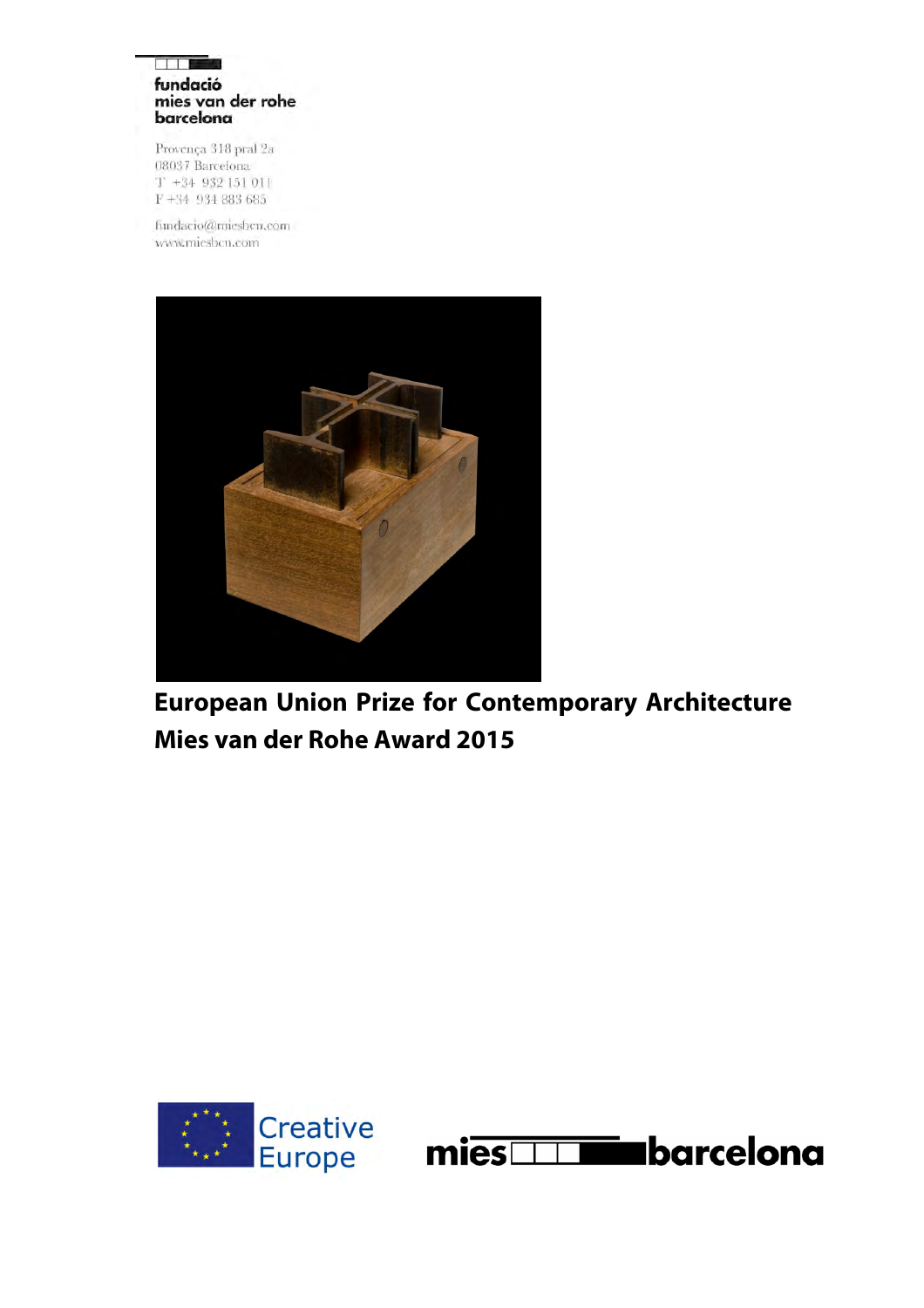#### ia de la fundació mies van der rohe barcelona

Provença 318 pral 2a 08037 Barcelona  $T + 34932151011$  $F+34$  934 883 685

fundacio@miesbcn.com www.miesbcn.com



**European Union Prize for Contemporary Architecture Mies van der Rohe Award 2015**



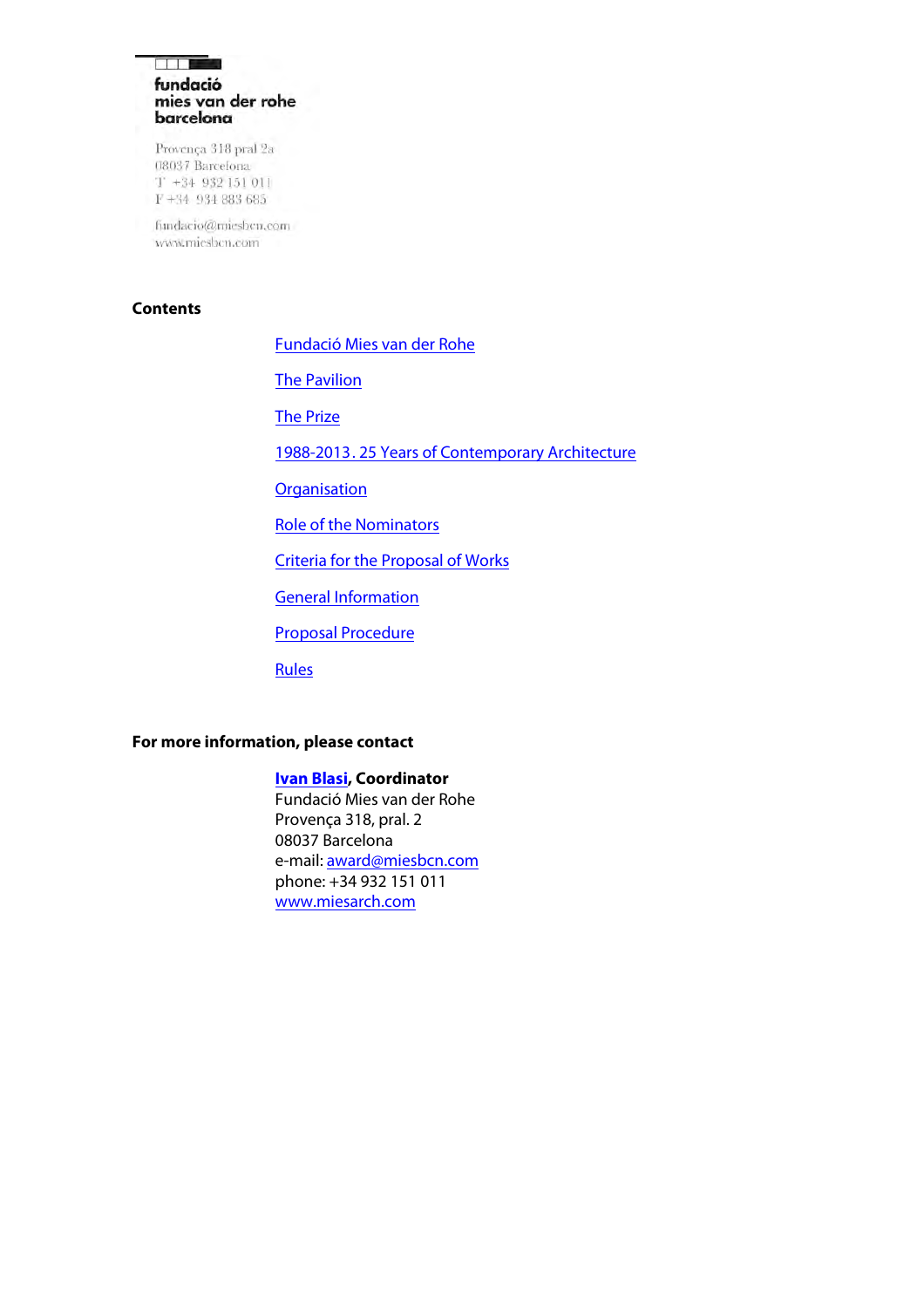### التكار الألا fundació mies van der rohe barcelona

Provença 318 pral 2a 08037 Barcelona  $T + 34$  932 151 011  $F+34$  934 883 685

fundacio@miesbcn.com www.miesbcn.com

### **Contents**

[Fundació Mies van der Rohe](#page-2-0) 

**[The Pavilion](#page-2-1)** 

[The Prize](#page-2-2)

[1988-2013. 25 Years of Contemporary Architecture](#page-3-0)

**[Organisation](#page-4-0)** 

[Role of the Nominators](#page-6-0)

[Criteria for the Proposal of Works](#page-7-0)

**[General Information](#page-9-0)** 

[Proposal Procedure](#page-10-0)

**Rules** 

## **For more information, please contact**

### **[Ivan Blasi,](mailto:award@miesbcn.com) Coordinator**

Fundació Mies van der Rohe Provença 318, pral. 2 08037 Barcelona e-mail[: award@miesbcn.com](mailto:award@miesbcn.com)  phone: +34 932 151 011 [www.miesarch.com](http://www.miesarch.com/)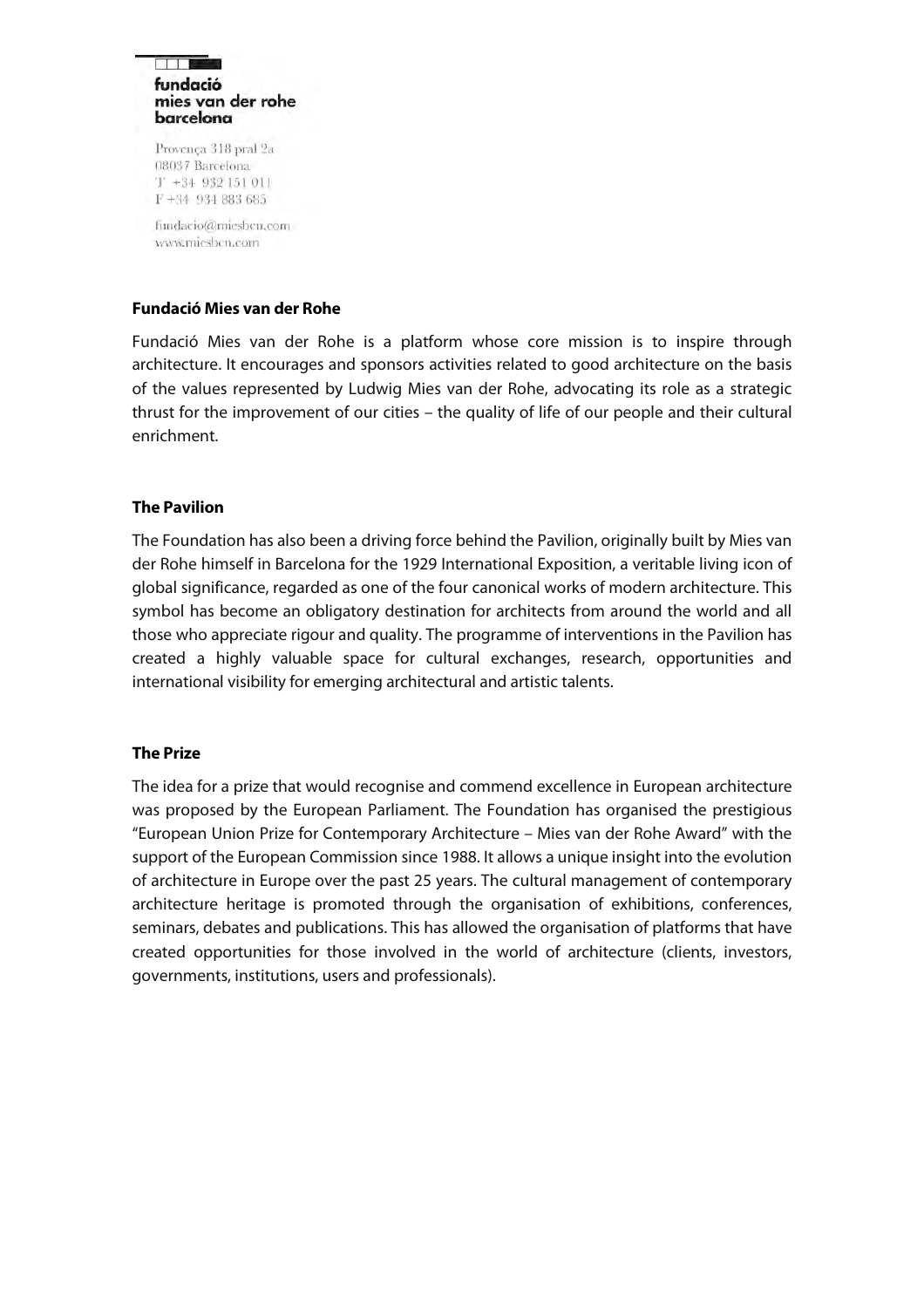#### **Film** fundació mies van der rohe barcelona

Provença 318 pral 2a 08037 Barcelona  $T$  +34 932 151 011 F+34 934 883 685

fundacio@miesbcn.com www.mieshen.com

### <span id="page-2-0"></span>**Fundació Mies van der Rohe**

Fundació Mies van der Rohe is a platform whose core mission is to inspire through architecture. It encourages and sponsors activities related to good architecture on the basis of the values represented by Ludwig Mies van der Rohe, advocating its role as a strategic thrust for the improvement of our cities – the quality of life of our people and their cultural enrichment.

### <span id="page-2-1"></span>**The Pavilion**

The Foundation has also been a driving force behind the Pavilion, originally built by Mies van der Rohe himself in Barcelona for the 1929 International Exposition, a veritable living icon of global significance, regarded as one of the four canonical works of modern architecture. This symbol has become an obligatory destination for architects from around the world and all those who appreciate rigour and quality. The programme of interventions in the Pavilion has created a highly valuable space for cultural exchanges, research, opportunities and international visibility for emerging architectural and artistic talents.

## <span id="page-2-2"></span>**The Prize**

The idea for a prize that would recognise and commend excellence in European architecture was proposed by the European Parliament. The Foundation has organised the prestigious "European Union Prize for Contemporary Architecture – Mies van der Rohe Award" with the support of the European Commission since 1988. It allows a unique insight into the evolution of architecture in Europe over the past 25 years. The cultural management of contemporary architecture heritage is promoted through the organisation of exhibitions, conferences, seminars, debates and publications. This has allowed the organisation of platforms that have created opportunities for those involved in the world of architecture (clients, investors, governments, institutions, users and professionals).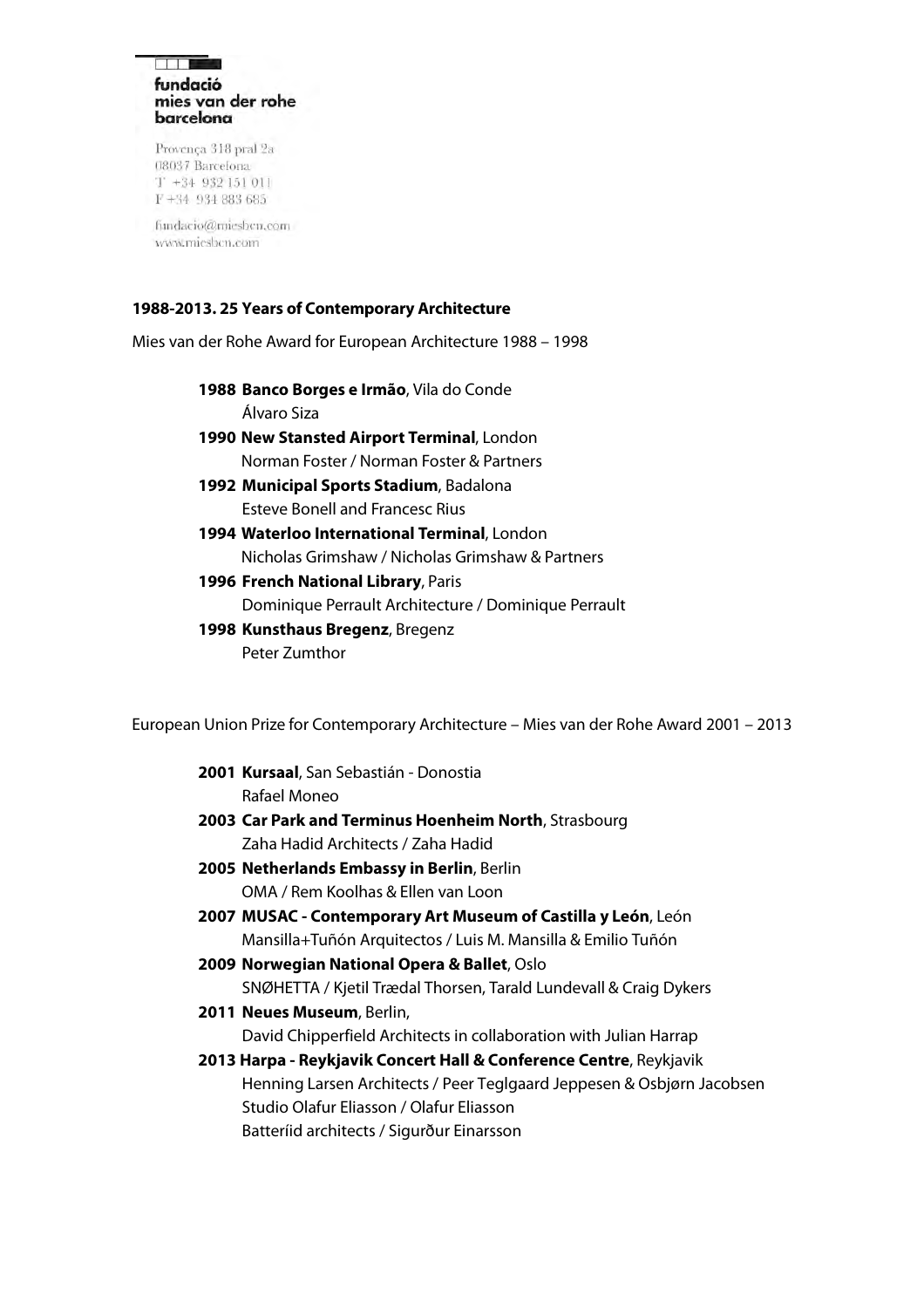#### **Film** fundació mies van der rohe barcelona

Provença 318 pral 2a 08037 Barcelona  $T + 34932151011$  $F+34$  934 883 685

fundacio@miesbcn.com www.mieshen.com

## <span id="page-3-0"></span>**1988-2013. 25 Years of Contemporary Architecture**

Mies van der Rohe Award for European Architecture 1988 – 1998

- **1988 Banco Borges e Irmão**, Vila do Conde Álvaro Siza
- **1990 New Stansted Airport Terminal**, London Norman Foster / Norman Foster & Partners
- **1992 Municipal Sports Stadium**, Badalona Esteve Bonell and Francesc Rius
- **1994 Waterloo International Terminal**, London Nicholas Grimshaw / Nicholas Grimshaw & Partners
- **1996 French National Library**, Paris

Dominique Perrault Architecture / Dominique Perrault

**1998 Kunsthaus Bregenz**, Bregenz Peter Zumthor

European Union Prize for Contemporary Architecture – Mies van der Rohe Award 2001 – 2013

- **2001 Kursaal**, San Sebastián Donostia Rafael Moneo
- **2003 Car Park and Terminus Hoenheim North**, Strasbourg Zaha Hadid Architects / Zaha Hadid
- **2005 Netherlands Embassy in Berlin**, Berlin OMA / Rem Koolhas & Ellen van Loon
- **2007 MUSAC Contemporary Art Museum of Castilla y León**, León Mansilla+Tuñón Arquitectos / Luis M. Mansilla & Emilio Tuñón
- **2009 Norwegian National Opera & Ballet**, Oslo SNØHETTA / Kjetil Trædal Thorsen, Tarald Lundevall & Craig Dykers
- **2011 Neues Museum**, Berlin, David Chipperfield Architects in collaboration with Julian Harrap
- **2013 Harpa Reykjavik Concert Hall & Conference Centre**, Reykjavik Henning Larsen Architects / Peer Teglgaard Jeppesen & Osbjørn Jacobsen Studio Olafur Eliasson / Olafur Eliasson Batteríid architects / Sigurður Einarsson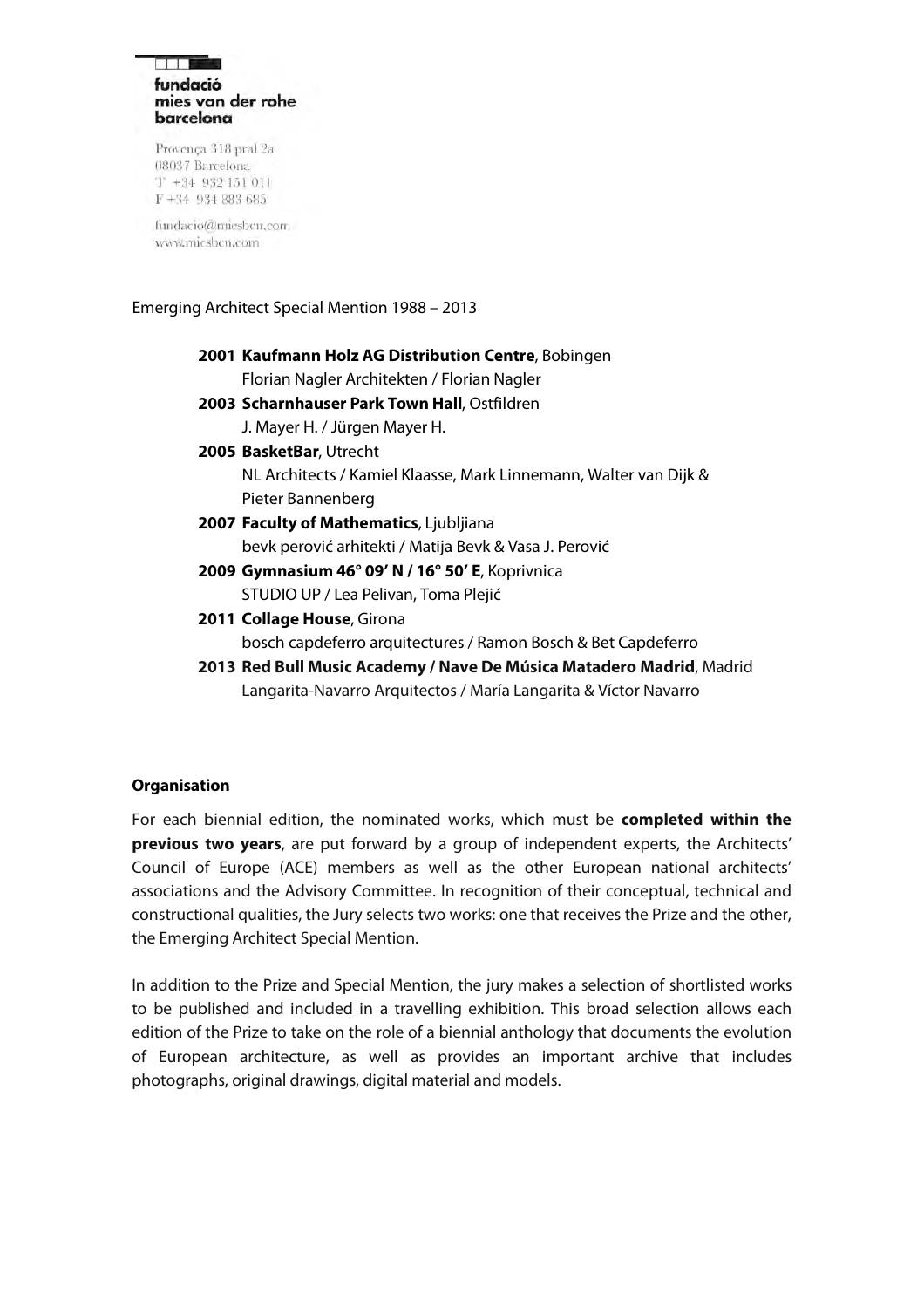#### **Biblio** fundació mies van der rohe barcelona

Provença 318 pral 2a 08037 Barcelona  $T + 34932151011$ F+34 934 883 685

fundacio@miesbcn.com www.mieshen.com

### Emerging Architect Special Mention 1988 – 2013

**2001 Kaufmann Holz AG Distribution Centre**, Bobingen Florian Nagler Architekten / Florian Nagler **2003 Scharnhauser Park Town Hall**, Ostfildren J. Mayer H. / Jürgen Mayer H. **2005 BasketBar**, Utrecht NL Architects / Kamiel Klaasse, Mark Linnemann, Walter van Dijk & Pieter Bannenberg **2007 Faculty of Mathematics**, Ljubljiana bevk perović arhitekti / Matija Bevk & Vasa J. Perović **2009 Gymnasium 46° 09' N / 16° 50' E**, Koprivnica STUDIO UP / Lea Pelivan, Toma Plejić **2011 Collage House**, Girona bosch capdeferro arquitectures / Ramon Bosch & Bet Capdeferro **2013 Red Bull Music Academy / Nave De Música Matadero Madrid**, Madrid Langarita-Navarro Arquitectos / María Langarita & Víctor Navarro

## <span id="page-4-0"></span>**Organisation**

For each biennial edition, the nominated works, which must be **completed within the previous two years**, are put forward by a group of independent experts, the Architects' Council of Europe (ACE) members as well as the other European national architects' associations and the Advisory Committee. In recognition of their conceptual, technical and constructional qualities, the Jury selects two works: one that receives the Prize and the other, the Emerging Architect Special Mention.

In addition to the Prize and Special Mention, the jury makes a selection of shortlisted works to be published and included in a travelling exhibition. This broad selection allows each edition of the Prize to take on the role of a biennial anthology that documents the evolution of European architecture, as well as provides an important archive that includes photographs, original drawings, digital material and models.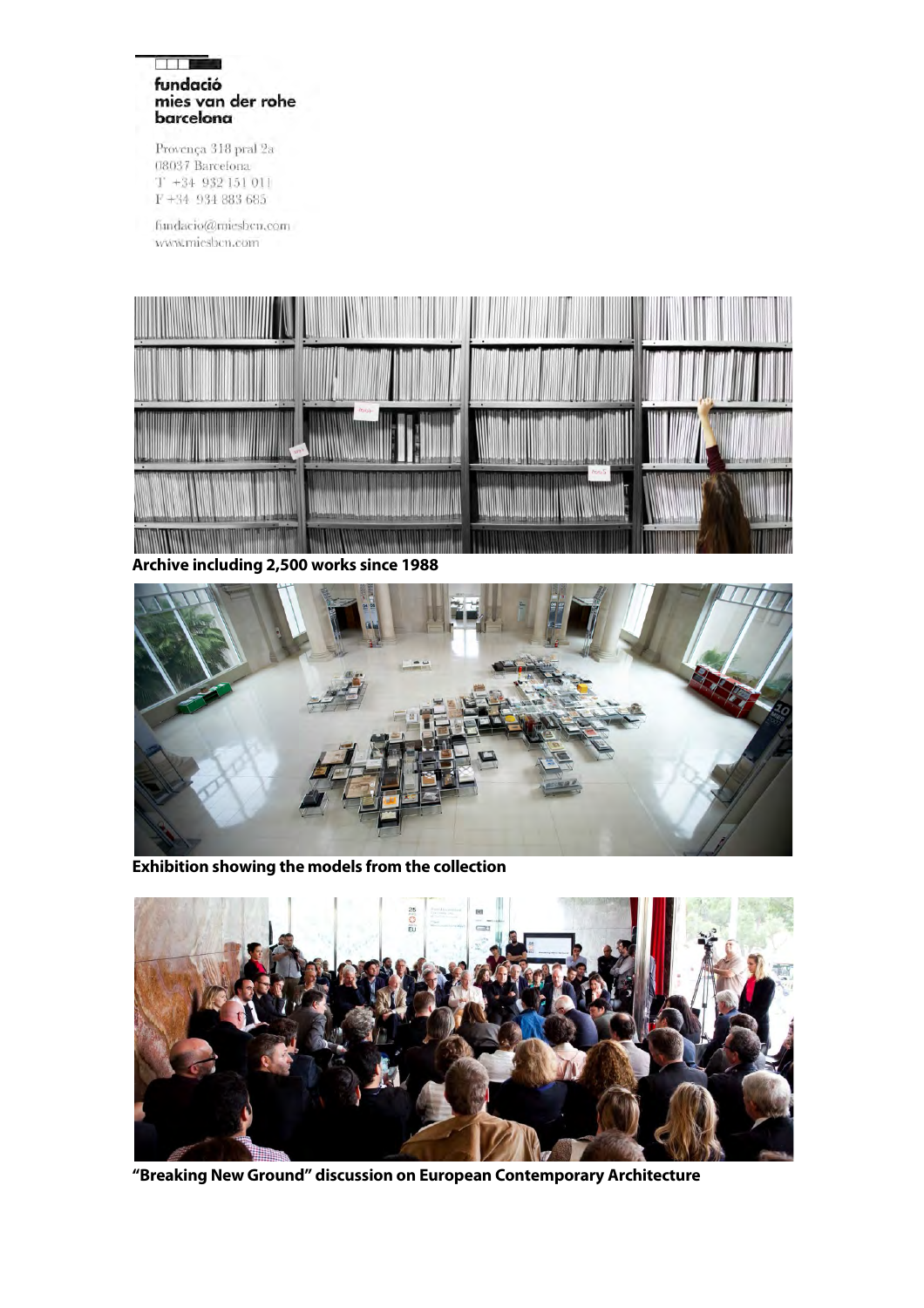#### **BLIST** fundació mies van der rohe barcelona

Provença 318 pral 2a 08037 Barcelona  $T + 34$  932 151 011  $F+34$  934 883 685

fundacio@miesbcn.com www.miesbcn.com



**Archive including 2,500 works since 1988**



**Exhibition showing the models from the collection**



**"Breaking New Ground" discussion on European Contemporary Architecture**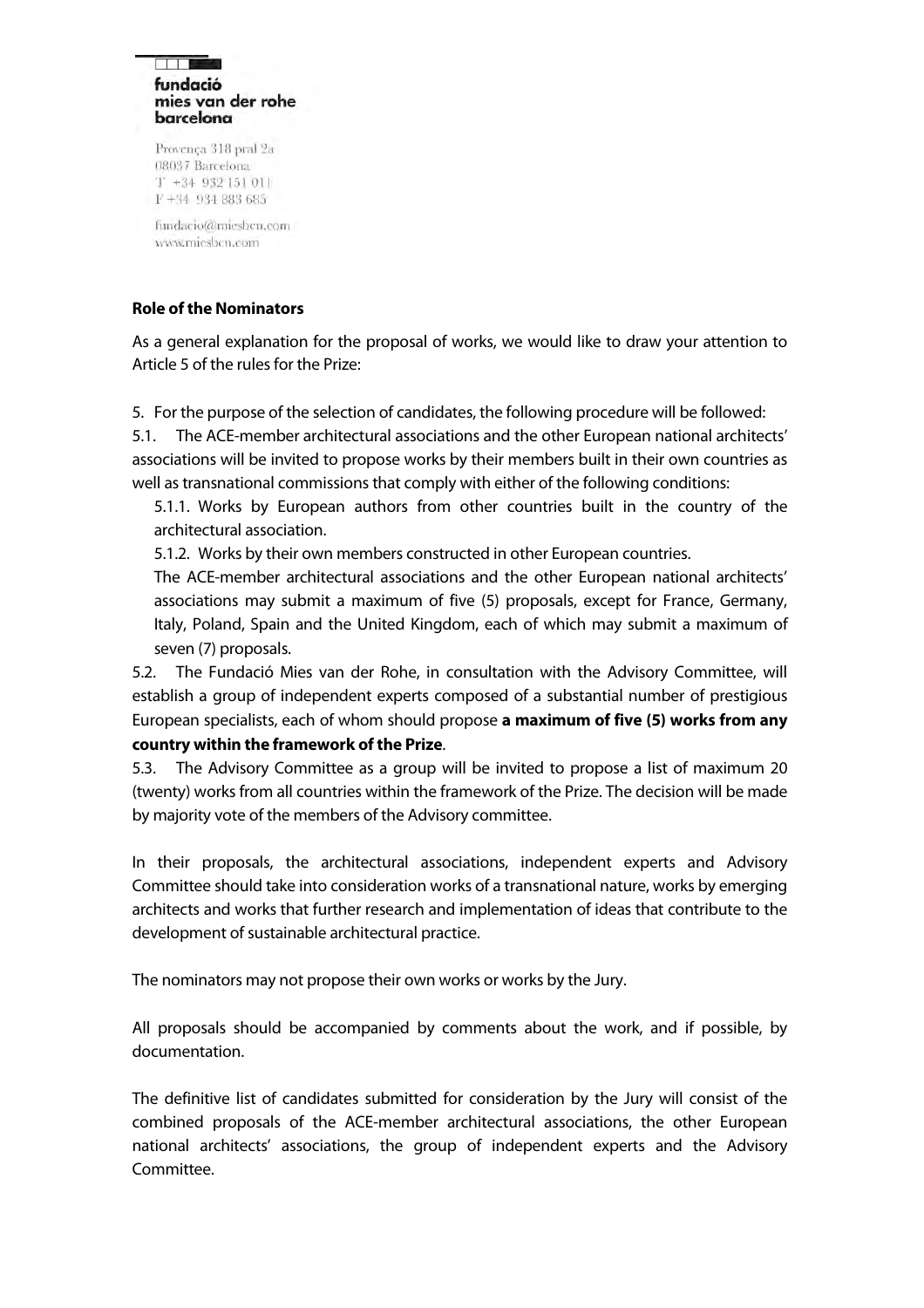#### **Biblio** fundació mies van der rohe barcelona

Provença 318 pral 2a 08037 Barcelona  $T + 34932151011$ F+34 934 883 685

fundacio@miesbcn.com www.miesben.com

# <span id="page-6-0"></span>**Role of the Nominators**

As a general explanation for the proposal of works, we would like to draw your attention to Article 5 of the rules for the Prize:

5. For the purpose of the selection of candidates, the following procedure will be followed:

5.1. The ACE-member architectural associations and the other European national architects' associations will be invited to propose works by their members built in their own countries as well as transnational commissions that comply with either of the following conditions:

5.1.1. Works by European authors from other countries built in the country of the architectural association.

5.1.2. Works by their own members constructed in other European countries.

The ACE-member architectural associations and the other European national architects' associations may submit a maximum of five (5) proposals, except for France, Germany, Italy, Poland, Spain and the United Kingdom, each of which may submit a maximum of seven (7) proposals.

5.2. The Fundació Mies van der Rohe, in consultation with the Advisory Committee, will establish a group of independent experts composed of a substantial number of prestigious European specialists, each of whom should propose **a maximum of five (5) works from any country within the framework of the Prize**.

5.3. The Advisory Committee as a group will be invited to propose a list of maximum 20 (twenty) works from all countries within the framework of the Prize. The decision will be made by majority vote of the members of the Advisory committee.

In their proposals, the architectural associations, independent experts and Advisory Committee should take into consideration works of a transnational nature, works by emerging architects and works that further research and implementation of ideas that contribute to the development of sustainable architectural practice.

The nominators may not propose their own works or works by the Jury.

All proposals should be accompanied by comments about the work, and if possible, by documentation.

The definitive list of candidates submitted for consideration by the Jury will consist of the combined proposals of the ACE-member architectural associations, the other European national architects' associations, the group of independent experts and the Advisory Committee.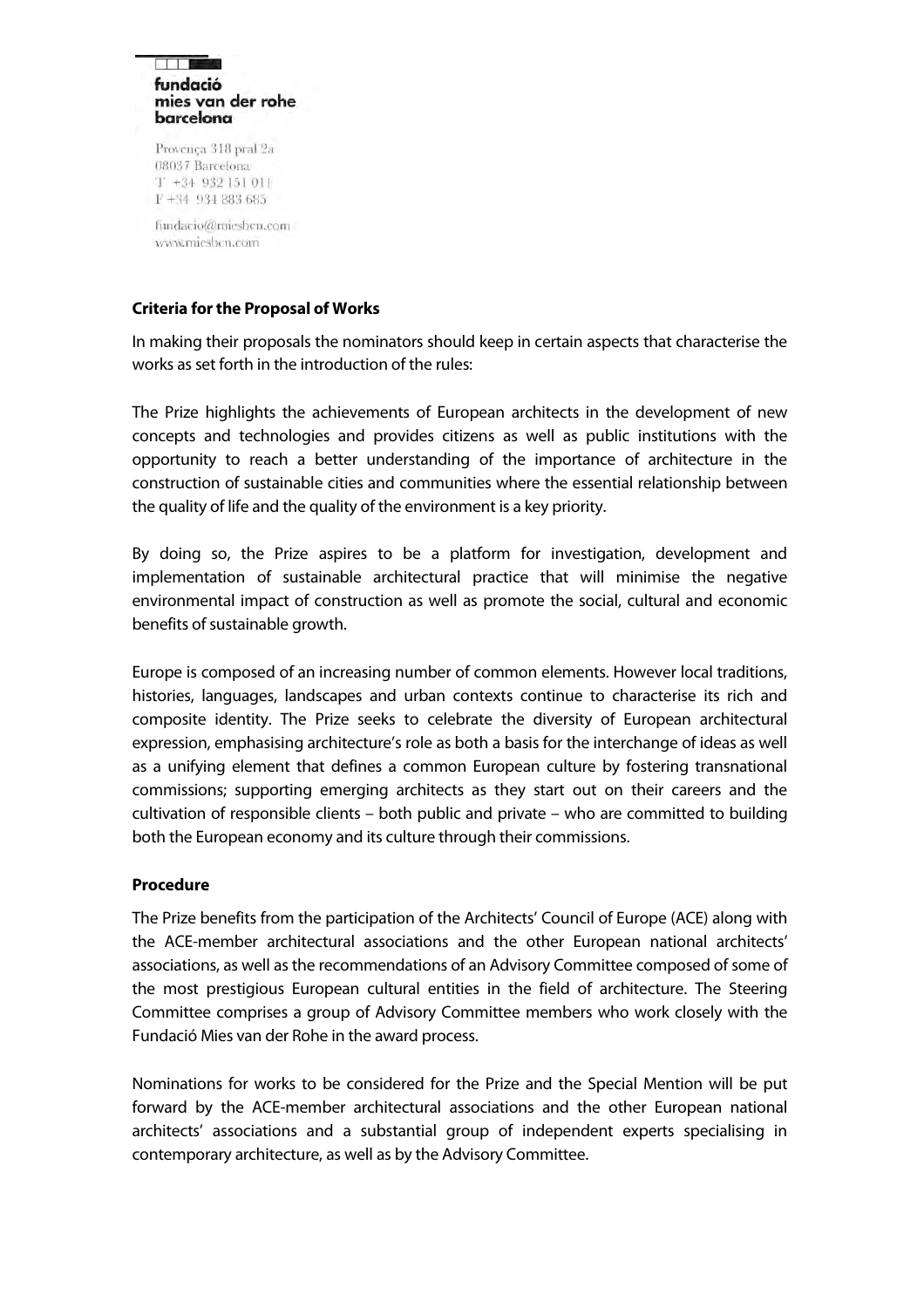#### **Biblio** fundació mies van der rohe barcelona

Provença 318 pral 2a 08037 Barcelona  $T + 34932151011$ F+34 934 883 685

fundacio@miesbcn.com www.mieshen.com

# <span id="page-7-0"></span>**Criteria for the Proposal of Works**

In making their proposals the nominators should keep in certain aspects that characterise the works as set forth in the introduction of the rules:

The Prize highlights the achievements of European architects in the development of new concepts and technologies and provides citizens as well as public institutions with the opportunity to reach a better understanding of the importance of architecture in the construction of sustainable cities and communities where the essential relationship between the quality of life and the quality of the environment is a key priority.

By doing so, the Prize aspires to be a platform for investigation, development and implementation of sustainable architectural practice that will minimise the negative environmental impact of construction as well as promote the social, cultural and economic benefits of sustainable growth.

Europe is composed of an increasing number of common elements. However local traditions, histories, languages, landscapes and urban contexts continue to characterise its rich and composite identity. The Prize seeks to celebrate the diversity of European architectural expression, emphasising architecture's role as both a basis for the interchange of ideas as well as a unifying element that defines a common European culture by fostering transnational commissions; supporting emerging architects as they start out on their careers and the cultivation of responsible clients – both public and private – who are committed to building both the European economy and its culture through their commissions.

## **Procedure**

The Prize benefits from the participation of the Architects' Council of Europe (ACE) along with the ACE-member architectural associations and the other European national architects' associations, as well as the recommendations of an Advisory Committee composed of some of the most prestigious European cultural entities in the field of architecture. The Steering Committee comprises a group of Advisory Committee members who work closely with the Fundació Mies van der Rohe in the award process.

Nominations for works to be considered for the Prize and the Special Mention will be put forward by the ACE-member architectural associations and the other European national architects' associations and a substantial group of independent experts specialising in contemporary architecture, as well as by the Advisory Committee.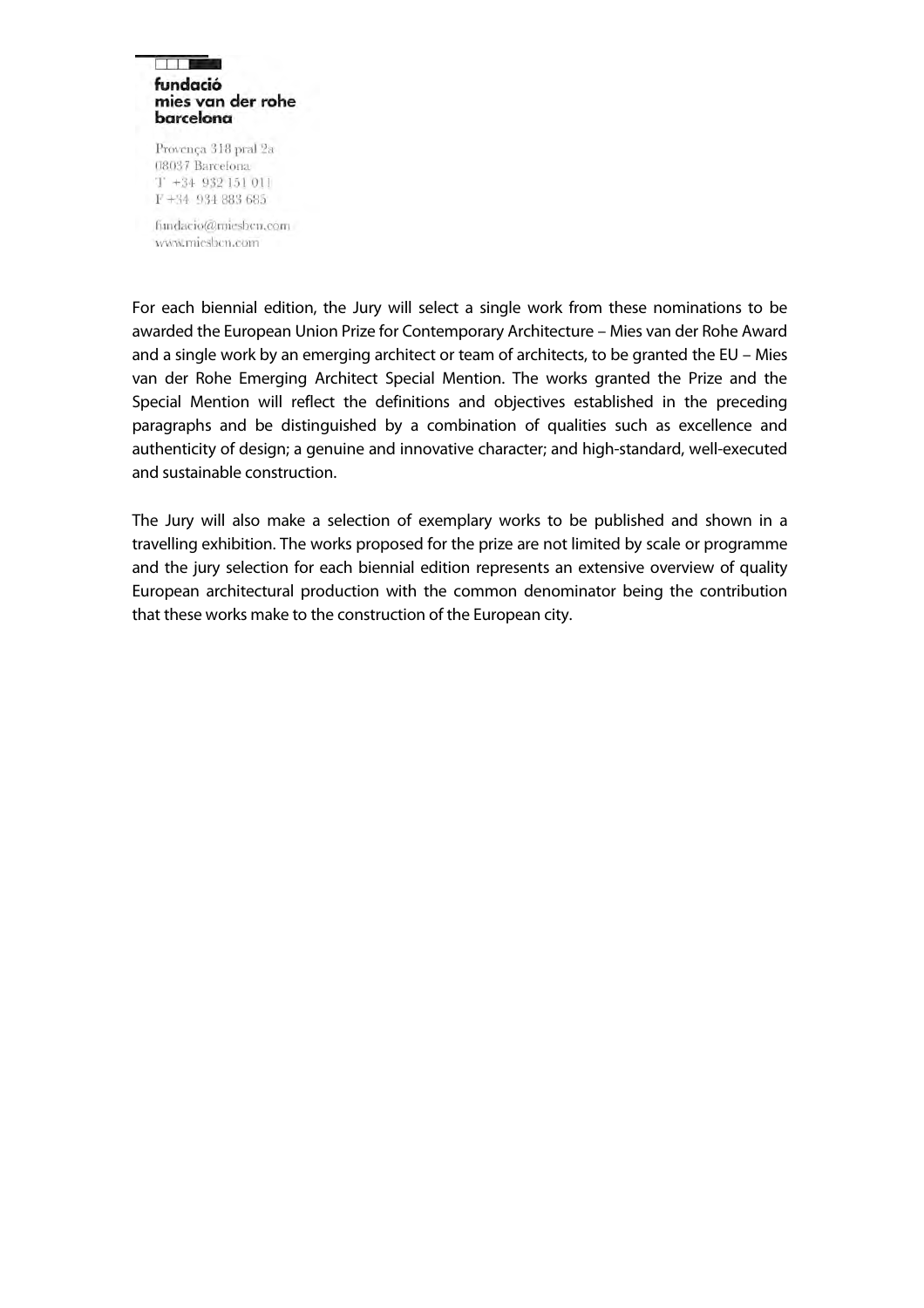#### **Billing** fundació mies van der rohe barcelona

Provença 318 pral 2a 08037 Barcelona  $T + 34932151011$  $F+34$  934 883 685

fundacio@miesbcn.com www.mieshen.com

For each biennial edition, the Jury will select a single work from these nominations to be awarded the European Union Prize for Contemporary Architecture – Mies van der Rohe Award and a single work by an emerging architect or team of architects, to be granted the EU – Mies van der Rohe Emerging Architect Special Mention. The works granted the Prize and the Special Mention will reflect the definitions and objectives established in the preceding paragraphs and be distinguished by a combination of qualities such as excellence and authenticity of design; a genuine and innovative character; and high-standard, well-executed and sustainable construction.

The Jury will also make a selection of exemplary works to be published and shown in a travelling exhibition. The works proposed for the prize are not limited by scale or programme and the jury selection for each biennial edition represents an extensive overview of quality European architectural production with the common denominator being the contribution that these works make to the construction of the European city.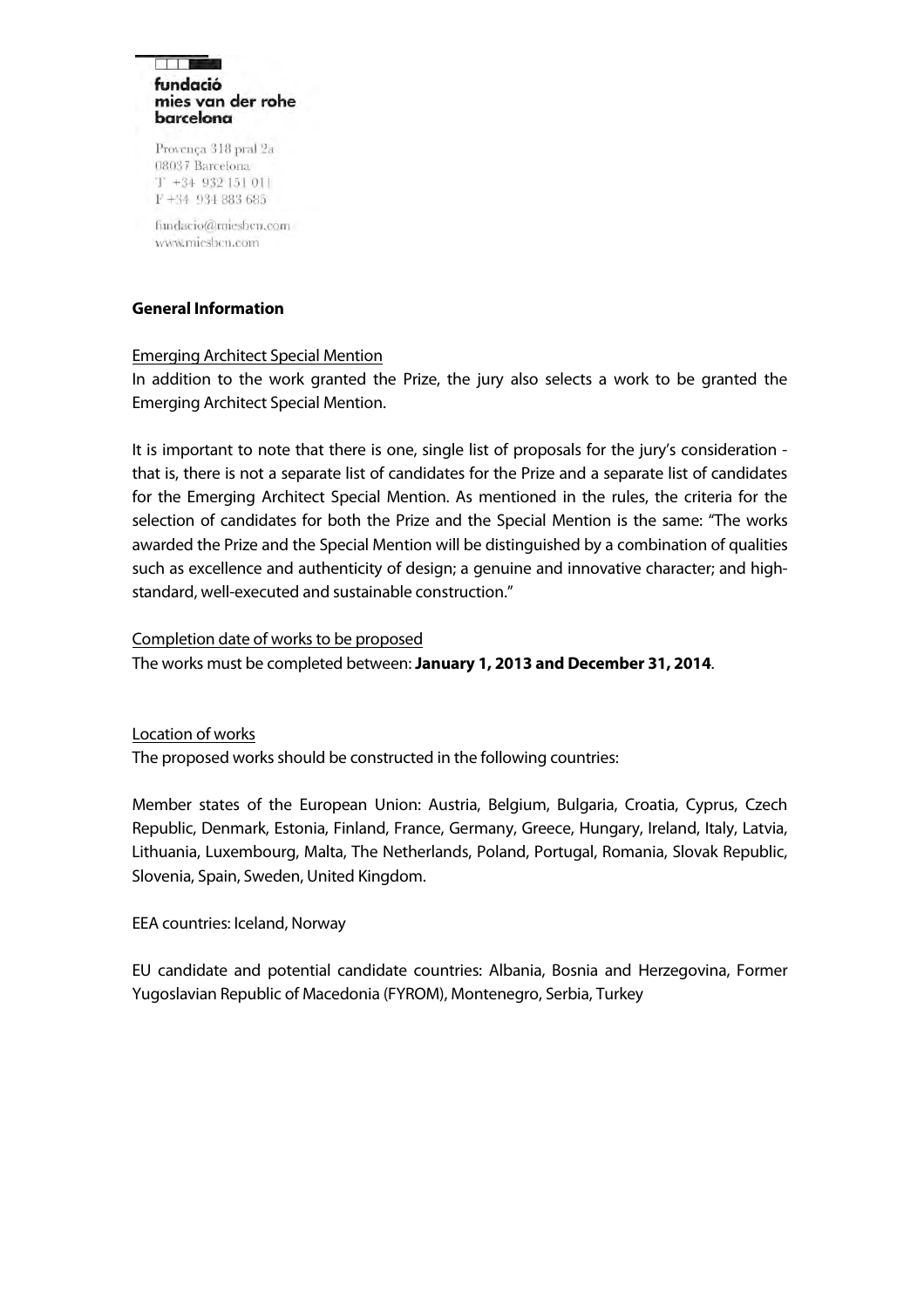#### **Film** fundació mies van der rohe barcelona

Provença 318 pral 2a 08037 Barcelona  $T$  +34 932 151 011 F+34 934 883 685

fundacio@miesbcn.com www.mieshen.com

## <span id="page-9-0"></span>**General Information**

### Emerging Architect Special Mention

In addition to the work granted the Prize, the jury also selects a work to be granted the Emerging Architect Special Mention.

It is important to note that there is one, single list of proposals for the jury's consideration that is, there is not a separate list of candidates for the Prize and a separate list of candidates for the Emerging Architect Special Mention. As mentioned in the rules, the criteria for the selection of candidates for both the Prize and the Special Mention is the same: "The works awarded the Prize and the Special Mention will be distinguished by a combination of qualities such as excellence and authenticity of design; a genuine and innovative character; and highstandard, well-executed and sustainable construction."

### Completion date of works to be proposed

The works must be completed between: **January 1, 2013 and December 31, 2014**.

### Location of works

The proposed works should be constructed in the following countries:

Member states of the European Union: Austria, Belgium, Bulgaria, Croatia, Cyprus, Czech Republic, Denmark, Estonia, Finland, France, Germany, Greece, Hungary, Ireland, Italy, Latvia, Lithuania, Luxembourg, Malta, The Netherlands, Poland, Portugal, Romania, Slovak Republic, Slovenia, Spain, Sweden, United Kingdom.

### EEA countries: Iceland, Norway

EU candidate and potential candidate countries: Albania, Bosnia and Herzegovina, Former Yugoslavian Republic of Macedonia (FYROM), Montenegro, Serbia, Turkey